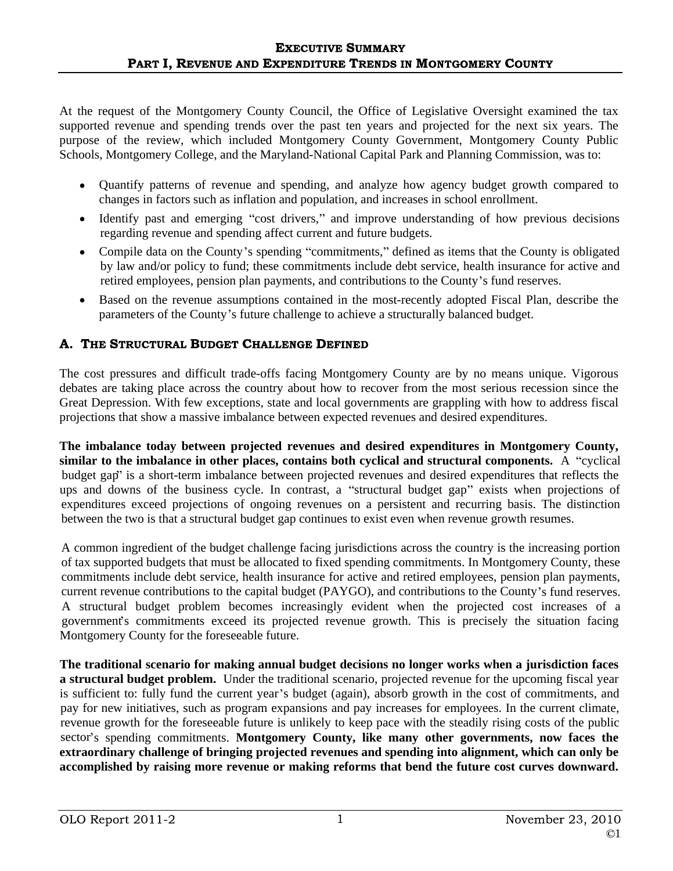At the request of the Montgomery County Council, the Office of Legislative Oversight examined the tax supported revenue and spending trends over the past ten years and projected for the next six years. The purpose of the review, which included Montgomery County Government, Montgomery County Public Schools, Montgomery College, and the Maryland-National Capital Park and Planning Commission, was to:

- Quantify patterns of revenue and spending, and analyze how agency budget growth compared to changes in factors such as inflation and population, and increases in school enrollment.<br>• Identify past and emerging "cost drivers," and improve understanding of how previous decisions
- regarding revenue and spending affect current and future budgets.<br>
 Compile data on the County's spending "commitments," defined as items that the County is obligated
- by law and/or policy to fund; these commitments include debt service, health insurance for active and retired employees, pension plan payments, and contributions to the County's fund reserves.
- Based on the revenue assumptions contained in the most-recently adopted Fiscal Plan, describe the parameters of the County's future challenge to achieve a structurally balanced budget.

# A. THE STRUCTURAL BUDGET CHALLENGE DEFINED

The cost pressures and difficult trade-offs facing Montgomery County are by no means unique. Vigorous debates are taking place across the country about how to recover from the most serious recession since the Great Depression. With few exceptions, state and local governments are grappling with how to address fiscal projections that show a massive imbalance between expected revenues and desired expenditures.

**The imbalance today between projected revenues and desired expenditures in Montgomery County, similar to the imbalance in other places, contains both cyclical and structural components.** A "cyclical" budget gap" is a short-term imbalance between projected revenues and desired expenditures that reflects the ups and downs of the business cycle. In contrast, a "structural budget gap" exists when projections of expenditures exceed projections of ongoing revenues on a persistent and recurring basis. The distinction between the two is that a structural budget gap continues to exist even when revenue growth resumes. A common ingredient of the budget challenge facing jurisdictions across the country is the increasing portion

of tax supported budgets that must be allocated to fixed spending commitments. In Montgomery County, these commitments include debt service, health insurance for active and retired employees, pension plan payments, current revenue contributions to the capital budget (PAYGO), and contributions to the County's fund reserves. A structural budget problem becomes increasingly evident when the projected cost increases of a governments commitments exceed its projected revenue growth. This is precisely the situation facing Montgomery County for the foreseeable future.

**The traditional scenario for making annual budget decisions no longer works when a jurisdiction faces a structural budget problem.** Under the traditional scenario, projected revenue for the upcoming fiscal year is sufficient to: fully fund the current year's budget (again), absorb growth in the cost of commitments, and pay for new initiatives, such as program expansions and pay increases for employees. In the current climate, revenue growth for the foreseeable future is unlikely to keep pace with the steadily rising costs of the public sector's spending commitments. Montgomery County, like many other governments, now faces the **extraordinary challenge of bringing projected revenues and spending into alignment, which can only be accomplished by raising more revenue or making reforms that bend the future cost curves downward.**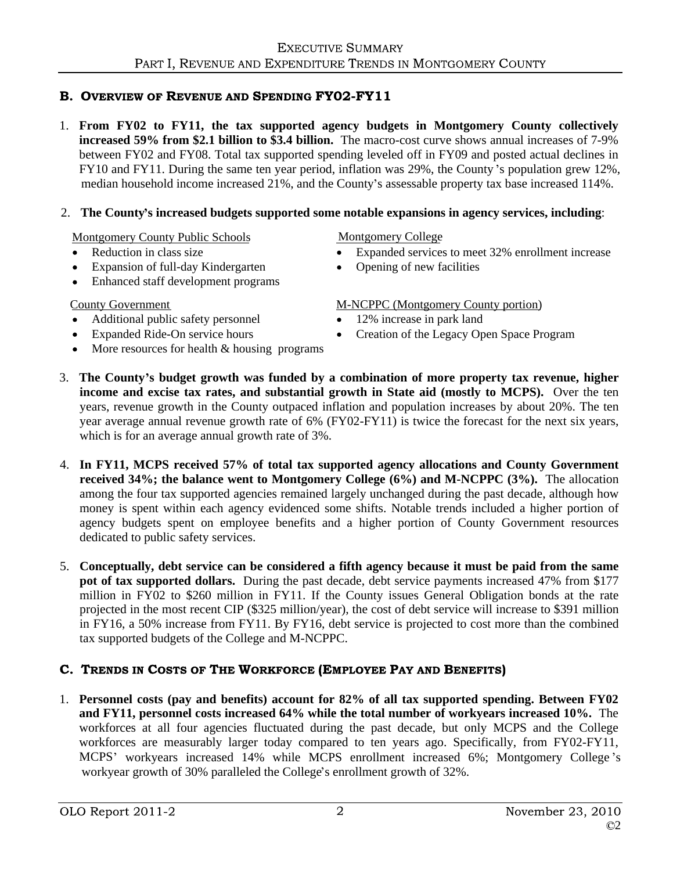# **B. OVERVIEW OF REVENUE AND SPENDING FYO2-FY11**

1. **From FY02 to FY11, the tax supported agency budgets in Montgomery County collectively increased 59% from \$2.1 billion to \$3.4 billion.** The macro-cost curve shows annual increases of 7-9% between FY02 and FY08. Total tax supported spending leveled off in FY09 and posted actual declines in FY10 and FY11. During the same ten year period, inflation was 29%, the County's population grew 12%,

# median household income increased 21%, and the County's assessable property tax base increased 114%.<br>2. The County's increased budgets supported some notable expansions in agency services, including:<br>Montgomery County Publ

- 
- Expansion of full-day Kindergarten
- Enhanced staff development programs

- Additional public safety personnel 12% increase in park land
- 
- More resources for health & housing programs

# **Montgomery College**

- Reduction in class size **Expanded services to meet 32% enrollment increase** Reduction in class size
	- Opening of new facilities

# County Government M-NCPPC (Montgomery County portion)

- 12% increase in park land
- Expanded Ride-On service hours Creation of the Legacy Open Space Program
- 3. The County's budget growth was funded by a combination of more property tax revenue, higher **income and excise tax rates, and substantial growth in State aid (mostly to MCPS).** Over the ten years, revenue growth in the County outpaced inflation and population increases by about 20%. The ten year average annual revenue growth rate of 6% (FY02-FY11) is twice the forecast for the next six years, which is for an average annual growth rate of 3%.
- 4. **In FY11, MCPS received 57% of total tax supported agency allocations and County Government received 34%; the balance went to Montgomery College (6%) and M-NCPPC (3%).** The allocation among the four tax supported agencies remained largely unchanged during the past decade, although how money is spent within each agency evidenced some shifts. Notable trends included a higher portion of agency budgets spent on employee benefits and a higher portion of County Government resources dedicated to public safety services. 5. **Conceptually, debt service can be considered a fifth agency because it must be paid from the same**
- **pot of tax supported dollars.** During the past decade, debt service payments increased 47% from \$177 million in FY02 to \$260 million in FY11. If the County issues General Obligation bonds at the rate projected in the most recent CIP (\$325 million/year), the cost of debt service will increase to \$391 million in FY16, a 50% increase from FY11. By FY16, debt service is projected to cost more than the combined

tax supported budgets of the College and M-NCPPC.<br> **C. TRENDS IN COSTS OF THE WORKFORCE (EMPLOYEE PAY AND BENEFITS)**<br>
1. Personnel costs (pay and benefits) account for 82% of all tax supported spending. Between FY02 **and FY11, personnel costs increased 64% while the total number of workyears increased 10%.** The workforces at all four agencies fluctuated during the past decade, but only MCPS and the College workforces are measurably larger today compared to ten years ago. Specifically, from FY02-FY11, MCPS' workyears increased 14% while MCPS enrollment increased 6%; Montgomery College's workyear growth of 30% paralleled the College's enrollment growth of 32%.